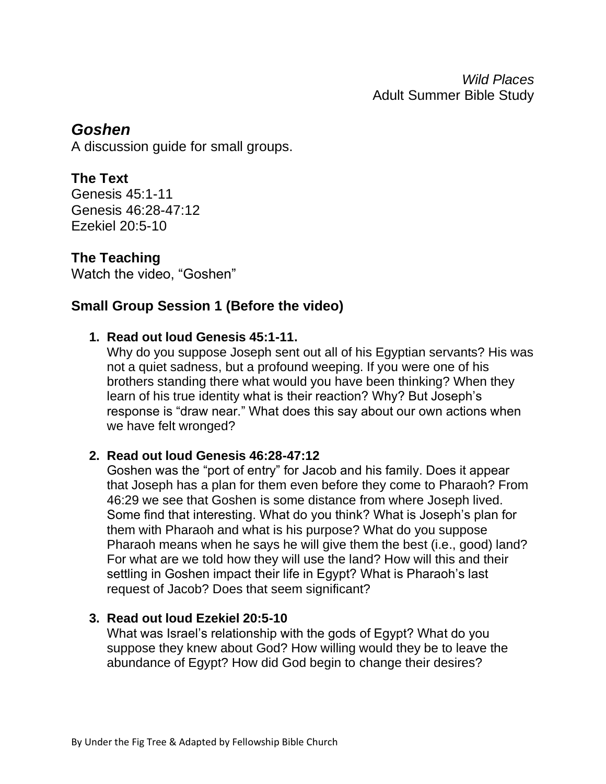*Wild Places* Adult Summer Bible Study

# *Goshen*

A discussion guide for small groups.

### **The Text**

Genesis 45:1-11 Genesis 46:28-47:12 Ezekiel 20:5-10

# **The Teaching**

Watch the video, "Goshen"

## **Small Group Session 1 (Before the video)**

### **1. Read out loud Genesis 45:1-11.**

Why do you suppose Joseph sent out all of his Egyptian servants? His was not a quiet sadness, but a profound weeping. If you were one of his brothers standing there what would you have been thinking? When they learn of his true identity what is their reaction? Why? But Joseph's response is "draw near." What does this say about our own actions when we have felt wronged?

### **2. Read out loud Genesis 46:28-47:12**

Goshen was the "port of entry" for Jacob and his family. Does it appear that Joseph has a plan for them even before they come to Pharaoh? From 46:29 we see that Goshen is some distance from where Joseph lived. Some find that interesting. What do you think? What is Joseph's plan for them with Pharaoh and what is his purpose? What do you suppose Pharaoh means when he says he will give them the best (i.e., good) land? For what are we told how they will use the land? How will this and their settling in Goshen impact their life in Egypt? What is Pharaoh's last request of Jacob? Does that seem significant?

### **3. Read out loud Ezekiel 20:5-10**

What was Israel's relationship with the gods of Egypt? What do you suppose they knew about God? How willing would they be to leave the abundance of Egypt? How did God begin to change their desires?